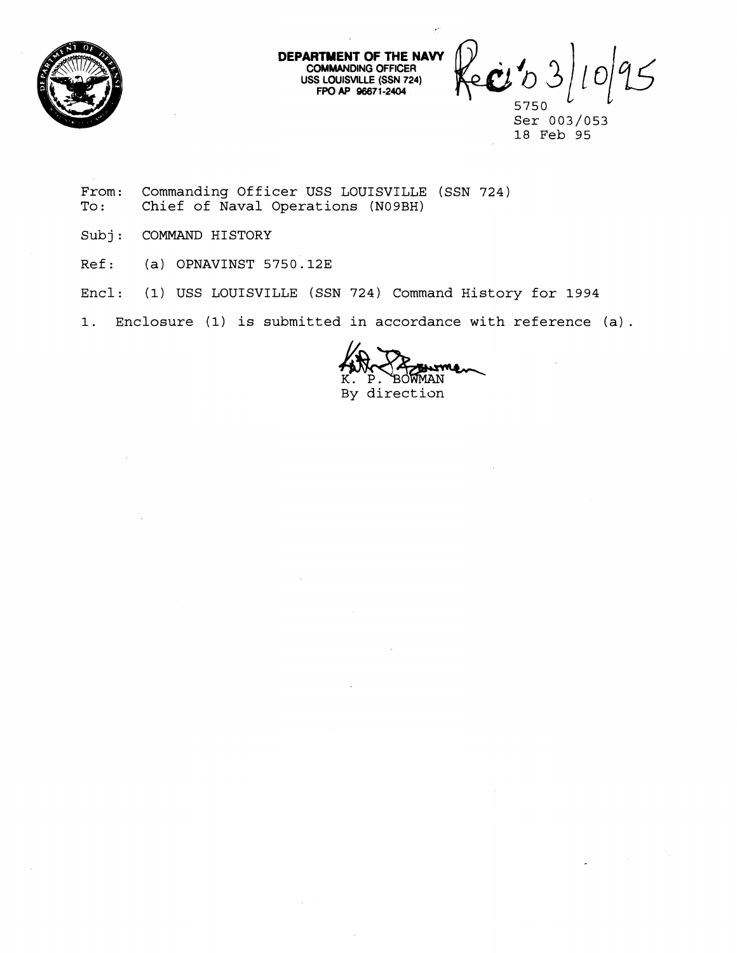

**DEPARTMENT OF THE NAW COMMANDING OFFICER USS LOUISVILLE (SSN 724)** 

**DMMANDING OFFICER**<br> **FPO AP 96671-2404 Apple 1** 

**Ser 003/053 18 Feb 95** 

- From: Commanding Officer USS LOUISVILLE (SSN 724)<br>To: Chief of Naval Operations (N09BH) Chief of Naval Operations (N09BH)
- **Subj: COMMAND HISTORY**
- **Ref: (a) OPNAVINST 5750.123**
- **Encl: (1) USS LOUISVILLE (SSN 724) Command History for 1994**

**1. Enclosure (1) is submitted in accordance with reference (a).** 

BOWMAN  $P$ . **By direction**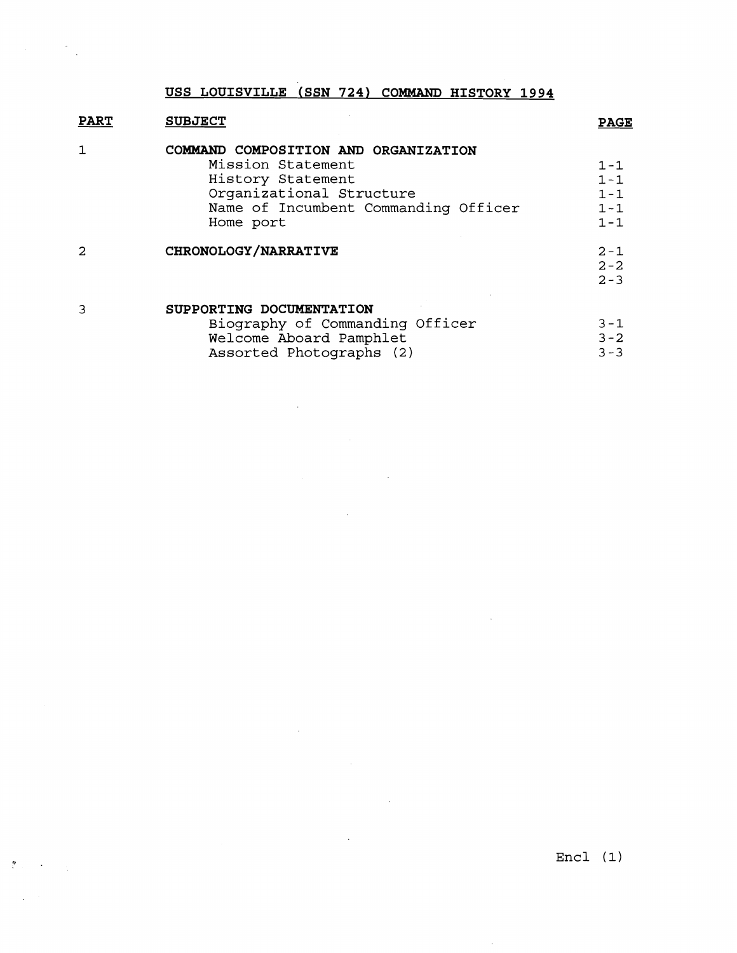$\tilde{f}(\omega)$  ,  $\omega$  ,  $\omega$ 

| <b>PART</b> | <b>SUBJECT</b>                                                                                                                                                  | <b>PAGE</b>                                         |
|-------------|-----------------------------------------------------------------------------------------------------------------------------------------------------------------|-----------------------------------------------------|
|             | COMMAND COMPOSITION AND ORGANIZATION<br>Mission Statement<br>History Statement<br>Organizational Structure<br>Name of Incumbent Commanding Officer<br>Home port | $1 - 1$<br>$1 - 1$<br>$1 - 1$<br>$1 - 1$<br>$1 - 1$ |
|             | CHRONOLOGY/NARRATIVE                                                                                                                                            | $2 - 1$<br>$2 - 2$<br>$2 - 3$                       |
|             | SUPPORTING DOCUMENTATION<br>Biography of Commanding Officer                                                                                                     | $3 - 1$                                             |

 $\mathcal{L}(\mathcal{A})$  and  $\mathcal{L}(\mathcal{A})$  .

 $\label{eq:2.1} \frac{1}{2} \sum_{i=1}^n \frac{1}{2} \sum_{j=1}^n \frac{1}{2} \sum_{j=1}^n \frac{1}{2} \sum_{j=1}^n \frac{1}{2} \sum_{j=1}^n \frac{1}{2} \sum_{j=1}^n \frac{1}{2} \sum_{j=1}^n \frac{1}{2} \sum_{j=1}^n \frac{1}{2} \sum_{j=1}^n \frac{1}{2} \sum_{j=1}^n \frac{1}{2} \sum_{j=1}^n \frac{1}{2} \sum_{j=1}^n \frac{1}{2} \sum_{j=1}^n \frac{$ 

 $\sim 10^{-10}$ 

 $\mathcal{L}(\mathcal{A})$  and  $\mathcal{L}(\mathcal{A})$  . The set of  $\mathcal{L}(\mathcal{A})$ 

 $\sim 10^{11}$ 

 $\mathcal{L}^{\text{max}}_{\text{max}}$ 

 $\label{eq:2.1} \frac{1}{\sqrt{2\pi}}\int_{0}^{\infty}\frac{1}{\sqrt{2\pi}}\left(\frac{1}{\sqrt{2\pi}}\right)^{2\alpha} \frac{1}{\sqrt{2\pi}}\int_{0}^{\infty}\frac{1}{\sqrt{2\pi}}\left(\frac{1}{\sqrt{2\pi}}\right)^{\alpha} \frac{1}{\sqrt{2\pi}}\frac{1}{\sqrt{2\pi}}\int_{0}^{\infty}\frac{1}{\sqrt{2\pi}}\frac{1}{\sqrt{2\pi}}\frac{1}{\sqrt{2\pi}}\frac{1}{\sqrt{2\pi}}\frac{1}{\sqrt{2\pi}}\frac{1}{\sqrt{2\$ 

| broughaphy of commanding officer | <u>ے ب</u> |  |
|----------------------------------|------------|--|
| Welcome Aboard Pamphlet          | $3 - 2$    |  |
| Assorted Photographs (2)         | $3 - 3$    |  |

 $\mathcal{L}^{\text{max}}_{\text{max}}$ 

 $\bar{\beta}$ 

Encl (1)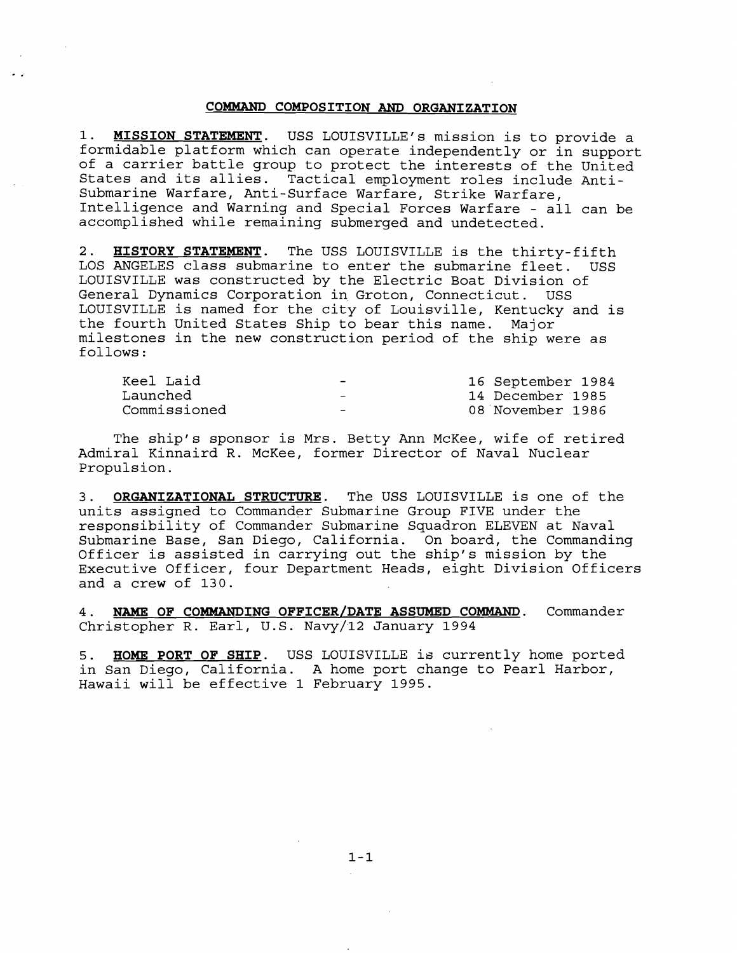## **COMMAND COMPOSITION AND ORGANIZATION**

1. **MISSION STATEMENT.** USS LOUISVILLE'S mission is to provide a formidable platform which can operate independently or in support of a carrier battle group to protect the interests of the United States and its allies. Tactical employment roles include Anti-Submarine Warfare, Anti-Surface Warfare, Strike Warfare, Intelligence and Warning and Special Forces Warfare - all can be accomplished while remaining submerged and undetected.

2. **HISTORY STATEMENT.** The USS LOUISVILLE is the thirty-fifth LOS ANGELES class submarine to enter the submarine fleet. USS LOUISVILLE was constructed by the Electric Boat Division of General Dynamics Corporation in Groton, Connecticut. USS LOUISVILLE is named for the city of Louisville, Kentucky and is the fourth United States Ship to bear this name. Major milestones in the new construction period of the ship were as follows :

| Keel Laid    | $\overline{\phantom{0}}$ | 16 September 1984 |
|--------------|--------------------------|-------------------|
| Launched     | $\overline{\phantom{0}}$ | 14 December 1985  |
| Commissioned | $\overline{\phantom{a}}$ | 08 November 1986  |

The ship's sponsor is Mrs. Betty Ann McKee, wife of retired Admiral Kinnaird R. McKee, former Director of Naval Nuclear Propulsion.

**3. ORGANIZATIONAL STRUCTURE.** The USS LOUISVILLE is one of the units assigned to Commander Submarine Group FIVE under the responsibility of Commander Submarine Squadron ELEVEN at Naval Submarine Base, San Diego, California. On board, the Commanding Officer is assisted in carrying out the ship's mission by the Executive Officer, four Department Heads, eight Division Officers and a crew of 130.

**4. NAME OF COMMANDING OFFICER/DATE ASSUMED COMMAND.** Commander Christopher R. Earl, U.S. Navy/12 January 1994

**5. HOME PORT OF SHIP.** USS LOUISVILLE is currently home ported in San Diego, California. A home port change to Pearl Harbor, Hawaii will be effective 1 February 1995.

 $1 - 1$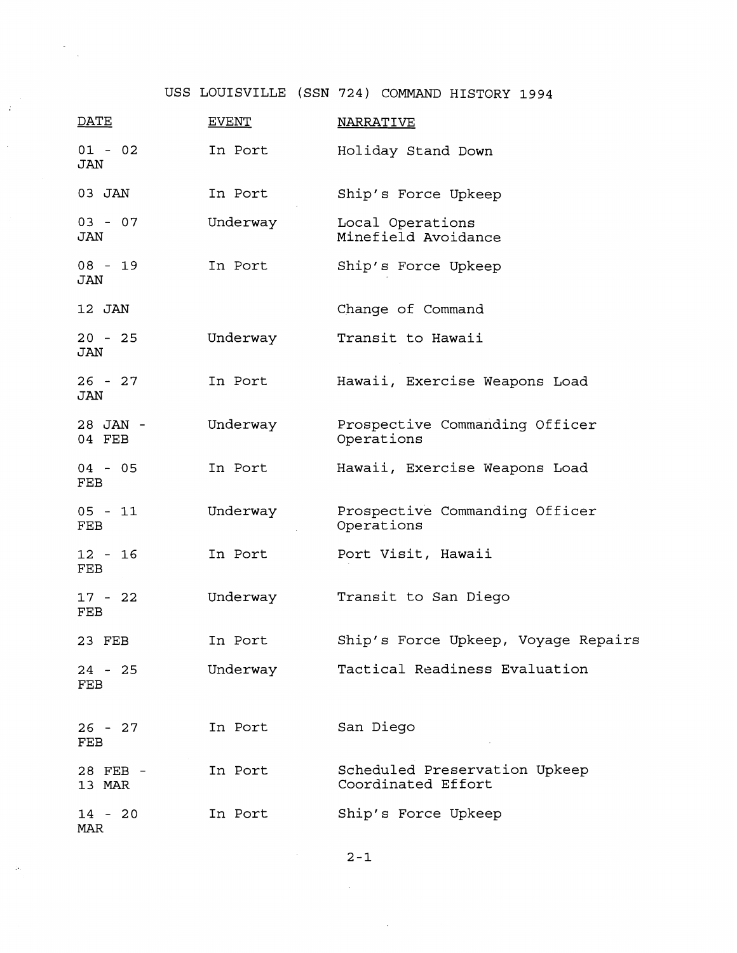$\mathbb{R}^2$ 

 $\hat{\mathcal{A}}$ 

 $\sim$   $\mu$ 

| <b>DATE</b>             | <b>EVENT</b> | <b>NARRATIVE</b>                                    |
|-------------------------|--------------|-----------------------------------------------------|
| $01 - 02$<br>JAN        | In Port      | Holiday Stand Down                                  |
| 03 JAN                  | In Port      | Ship's Force Upkeep                                 |
| $03 - 07$<br>JAN        | Underway     | Local Operations<br>Minefield Avoidance             |
| 08 - 19<br>JAN          | In Port      | Ship's Force Upkeep                                 |
| 12 JAN                  |              | Change of Command                                   |
| $20 - 25$<br>JAN        | Underway     | Transit to Hawaii                                   |
| $26 - 27$<br>JAN        | In Port      | Hawaii, Exercise Weapons Load                       |
| 28 JAN -<br>04 FEB      | Underway     | Prospective Commanding Officer<br>Operations        |
| $04 - 05$<br>FEB        | In Port      | Hawaii, Exercise Weapons Load                       |
| $05 - 11$<br><b>FEB</b> | Underway     | Prospective Commanding Officer<br>Operations        |
| $12 - 16$<br>FEB        | In Port      | Port Visit, Hawaii                                  |
| $17 - 22$<br>FEB        | Underway     | Transit to San Diego                                |
| 23 FEB                  | In Port      | Ship's Force Upkeep, Voyage Repairs                 |
| $24 - 25$<br>FEB        | Underway     | Tactical Readiness Evaluation                       |
| $26 - 27$<br>FEB        | In Port      | San Diego                                           |
| 28 FEB -<br>13 MAR      | In Port      | Scheduled Preservation Upkeep<br>Coordinated Effort |
| $14 - 20$<br>MAR        | In Port      | Ship's Force Upkeep                                 |

 $2-1$ 

 $\sim 40\,$  km  $^{-1}$ 

 $\mathcal{L}(\mathbf{z})$  and  $\mathcal{L}(\mathbf{z})$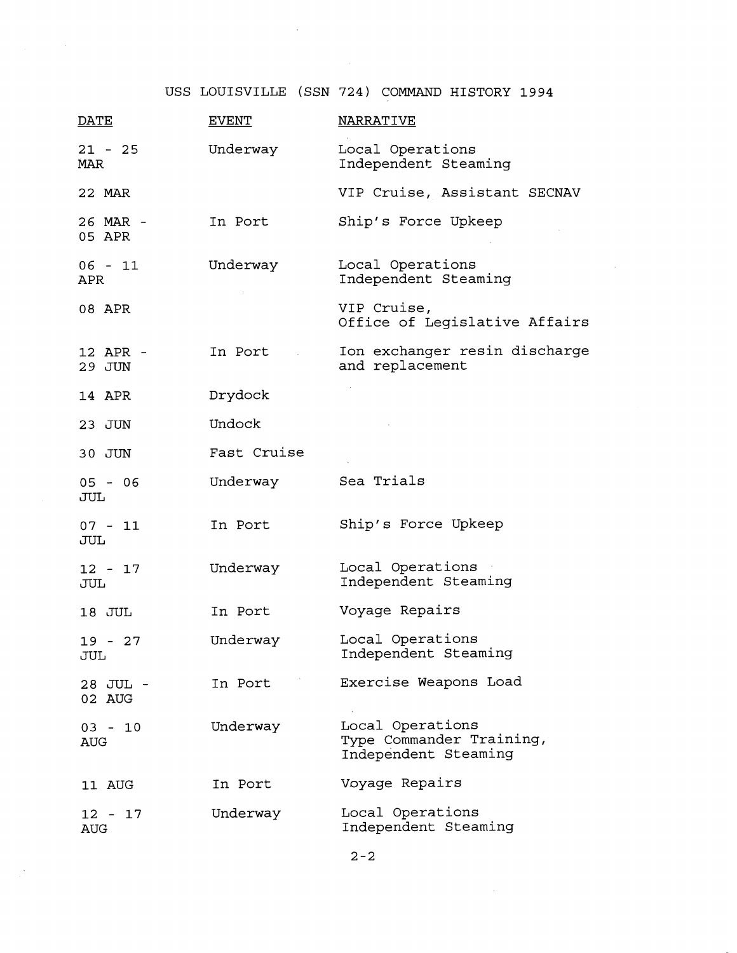$\mathcal{A}^{\pm}$ 

 $\sim$   $\sim$ 

| <b>DATE</b>             | <b>EVENT</b> | <b>NARRATIVE</b>                                                     |
|-------------------------|--------------|----------------------------------------------------------------------|
| $21 - 25$<br>MAR        | Underway     | Local Operations<br>Independent Steaming                             |
| 22 MAR                  |              | VIP Cruise, Assistant SECNAV                                         |
| 26 MAR -<br>05 APR      | In Port      | Ship's Force Upkeep                                                  |
| $06 - 11$<br><b>APR</b> | Underway     | Local Operations<br>Independent Steaming                             |
| 08 APR                  |              | VIP Cruise,<br>Office of Legislative Affairs                         |
| 12 APR -<br>29 JUN      | In Port      | Ion exchanger resin discharge<br>and replacement                     |
| 14 APR                  | Drydock      |                                                                      |
| 23 JUN                  | Undock       |                                                                      |
| 30 JUN                  | Fast Cruise  |                                                                      |
| $05 - 06$<br>JUL        | Underway     | Sea Trials                                                           |
| $07 - 11$<br>JUL        | In Port      | Ship's Force Upkeep                                                  |
| $12 - 17$<br>JUL        | Underway     | Local Operations<br>Independent Steaming                             |
| 18 JUL                  | In Port      | Voyage Repairs                                                       |
| $19 - 27$<br>JUL        | Underway     | Local Operations<br>Independent Steaming                             |
| 28 JUL -<br>02 AUG      | In Port      | Exercise Weapons Load                                                |
| $03 - 10$<br><b>AUG</b> | Underway     | Local Operations<br>Type Commander Training,<br>Independent Steaming |
| 11 AUG                  | In Port      | Voyage Repairs                                                       |
| $12 - 17$<br>AUG        | Underway     | Local Operations<br>Independent Steaming                             |

 $\sim$   $\sim$